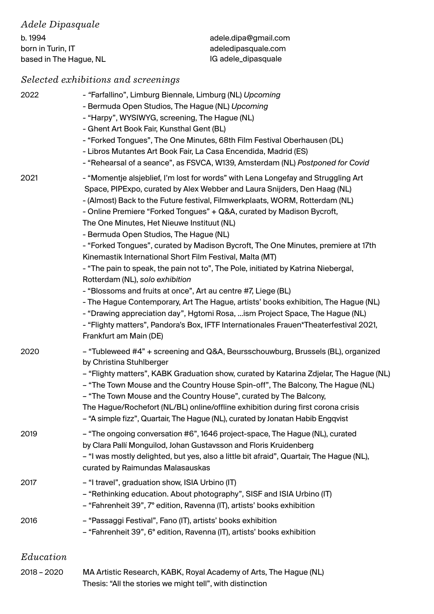| adele.dipa@gmail.com |
|----------------------|
| adeledipasquale.com  |
| IG adele_dipasquale  |
|                      |

# *Selected exhibitions and screenings*

| 2022        | - "Farfallino", Limburg Biennale, Limburg (NL) Upcoming<br>- Bermuda Open Studios, The Hague (NL) Upcoming<br>- "Harpy", WYSIWYG, screening, The Hague (NL)<br>- Ghent Art Book Fair, Kunsthal Gent (BL)<br>- "Forked Tongues", The One Minutes, 68th Film Festival Oberhausen (DL)<br>- Libros Mutantes Art Book Fair, La Casa Encendida, Madrid (ES)<br>- "Rehearsal of a seance", as FSVCA, W139, Amsterdam (NL) Postponed for Covid                                                                                                                                                                                                                                                                                                                                                                                                                                                                                                                                                                                                           |
|-------------|---------------------------------------------------------------------------------------------------------------------------------------------------------------------------------------------------------------------------------------------------------------------------------------------------------------------------------------------------------------------------------------------------------------------------------------------------------------------------------------------------------------------------------------------------------------------------------------------------------------------------------------------------------------------------------------------------------------------------------------------------------------------------------------------------------------------------------------------------------------------------------------------------------------------------------------------------------------------------------------------------------------------------------------------------|
| 2021        | - "Momentje alsjeblief, I'm lost for words" with Lena Longefay and Struggling Art<br>Space, PIPExpo, curated by Alex Webber and Laura Snijders, Den Haag (NL)<br>- (Almost) Back to the Future festival, Filmwerkplaats, WORM, Rotterdam (NL)<br>- Online Premiere "Forked Tongues" + Q&A, curated by Madison Bycroft,<br>The One Minutes, Het Nieuwe Instituut (NL)<br>- Bermuda Open Studios, The Hague (NL)<br>- "Forked Tongues", curated by Madison Bycroft, The One Minutes, premiere at 17th<br>Kinemastik International Short Film Festival, Malta (MT)<br>- "The pain to speak, the pain not to", The Pole, initiated by Katrina Niebergal,<br>Rotterdam (NL), solo exhibition<br>- "Blossoms and fruits at once", Art au centre #7, Liege (BL)<br>- The Hague Contemporary, Art The Hague, artists' books exhibition, The Hague (NL)<br>- "Drawing appreciation day", Hgtomi Rosa, ism Project Space, The Hague (NL)<br>- "Flighty matters", Pandora's Box, IFTF Internationales Frauen*Theaterfestival 2021,<br>Frankfurt am Main (DE) |
| 2020        | - "Tubleweed #4" + screening and Q&A, Beursschouwburg, Brussels (BL), organized<br>by Christina Stuhlberger<br>- "Flighty matters", KABK Graduation show, curated by Katarina Zdjelar, The Hague (NL)<br>- "The Town Mouse and the Country House Spin-off", The Balcony, The Hague (NL)<br>- "The Town Mouse and the Country House", curated by The Balcony,<br>The Hague/Rochefort (NL/BL) online/offline exhibition during first corona crisis<br>- "A simple fizz", Quartair, The Hague (NL), curated by Jonatan Habib Engqvist                                                                                                                                                                                                                                                                                                                                                                                                                                                                                                                |
| 2019        | - "The ongoing conversation #6", 1646 project-space, The Hague (NL), curated<br>by Clara Pallí Monguilod, Johan Gustavsson and Floris Kruidenberg<br>- "I was mostly delighted, but yes, also a little bit afraid", Quartair, The Hague (NL),<br>curated by Raimundas Malasauskas                                                                                                                                                                                                                                                                                                                                                                                                                                                                                                                                                                                                                                                                                                                                                                 |
| 2017        | - "I travel", graduation show, ISIA Urbino (IT)<br>- "Rethinking education. About photography", SISF and ISIA Urbino (IT)<br>- "Fahrenheit 39", 7° edition, Ravenna (IT), artists' books exhibition                                                                                                                                                                                                                                                                                                                                                                                                                                                                                                                                                                                                                                                                                                                                                                                                                                               |
| 2016        | - "Passaggi Festival", Fano (IT), artists' books exhibition<br>- "Fahrenheit 39", 6° edition, Ravenna (IT), artists' books exhibition                                                                                                                                                                                                                                                                                                                                                                                                                                                                                                                                                                                                                                                                                                                                                                                                                                                                                                             |
| Education   |                                                                                                                                                                                                                                                                                                                                                                                                                                                                                                                                                                                                                                                                                                                                                                                                                                                                                                                                                                                                                                                   |
| 2018 - 2020 | MA Artistic Research, KABK, Royal Academy of Arts, The Hague (NL)<br>Thesis: "All the stories we might tell", with distinction                                                                                                                                                                                                                                                                                                                                                                                                                                                                                                                                                                                                                                                                                                                                                                                                                                                                                                                    |